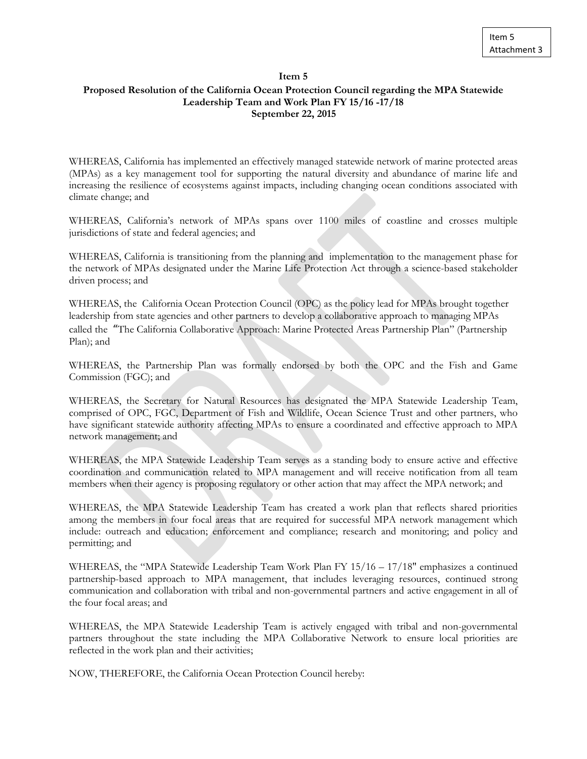## **Item 5**

## **Proposed Resolution of the California Ocean Protection Council regarding the MPA Statewide Leadership Team and Work Plan FY 15/16 -17/18 September 22, 2015**

WHEREAS, California has implemented an effectively managed statewide network of marine protected areas (MPAs) as a key management tool for supporting the natural diversity and abundance of marine life and increasing the resilience of ecosystems against impacts, including changing ocean conditions associated with climate change; and

WHEREAS, California's network of MPAs spans over 1100 miles of coastline and crosses multiple jurisdictions of state and federal agencies; and

WHEREAS, California is transitioning from the planning and implementation to the management phase for the network of MPAs designated under the Marine Life Protection Act through a science-based stakeholder driven process; and

WHEREAS, the California Ocean Protection Council (OPC) as the policy lead for MPAs brought together leadership from state agencies and other partners to develop a collaborative approach to managing MPAs called the "The California Collaborative Approach: Marine Protected Areas Partnership Plan" (Partnership Plan); and

WHEREAS, the Partnership Plan was formally endorsed by both the OPC and the Fish and Game Commission (FGC); and

WHEREAS, the Secretary for Natural Resources has designated the MPA Statewide Leadership Team, comprised of OPC, FGC, Department of Fish and Wildlife, Ocean Science Trust and other partners, who have significant statewide authority affecting MPAs to ensure a coordinated and effective approach to MPA network management; and

WHEREAS, the MPA Statewide Leadership Team serves as a standing body to ensure active and effective coordination and communication related to MPA management and will receive notification from all team members when their agency is proposing regulatory or other action that may affect the MPA network; and

WHEREAS, the MPA Statewide Leadership Team has created a work plan that reflects shared priorities among the members in four focal areas that are required for successful MPA network management which include: outreach and education; enforcement and compliance; research and monitoring; and policy and permitting; and

WHEREAS, the "MPA Statewide Leadership Team Work Plan FY 15/16 – 17/18" emphasizes a continued partnership-based approach to MPA management, that includes leveraging resources, continued strong communication and collaboration with tribal and non-governmental partners and active engagement in all of the four focal areas; and

WHEREAS, the MPA Statewide Leadership Team is actively engaged with tribal and non-governmental partners throughout the state including the MPA Collaborative Network to ensure local priorities are reflected in the work plan and their activities;

NOW, THEREFORE, the California Ocean Protection Council hereby: